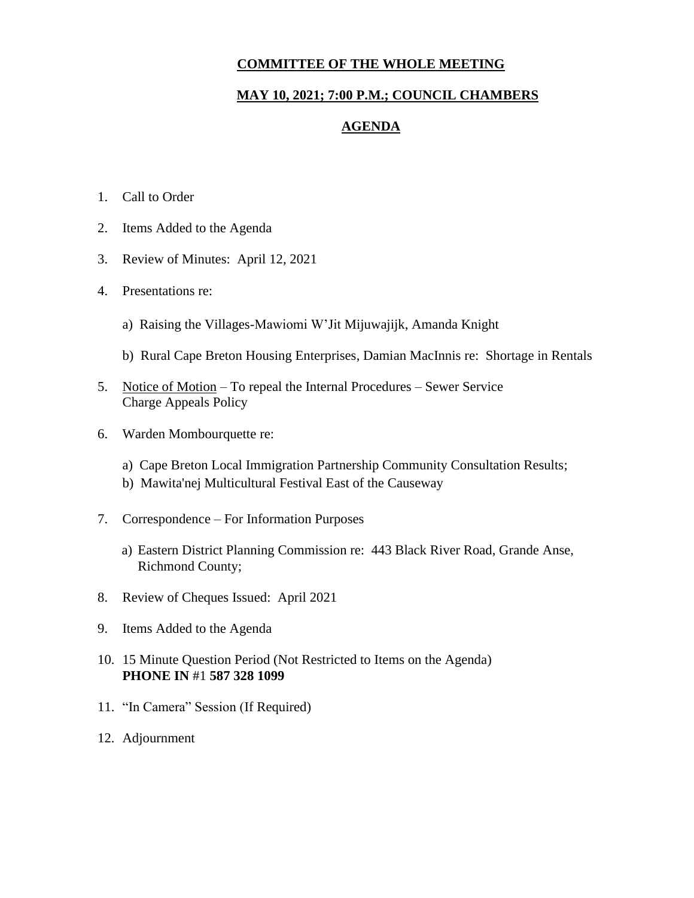### **COMMITTEE OF THE WHOLE MEETING**

## **MAY 10, 2021; 7:00 P.M.; COUNCIL CHAMBERS**

### **AGENDA**

- 1. Call to Order
- 2. Items Added to the Agenda
- 3. Review of Minutes: April 12, 2021
- 4. Presentations re:
	- a) Raising the Villages-Mawiomi W'Jit Mijuwajijk, Amanda Knight
	- b) Rural Cape Breton Housing Enterprises, Damian MacInnis re: Shortage in Rentals
- 5. Notice of Motion To repeal the Internal Procedures Sewer Service Charge Appeals Policy
- 6. Warden Mombourquette re:
	- a) Cape Breton Local Immigration Partnership Community Consultation Results;
	- b) Mawita'nej Multicultural Festival East of the Causeway
- 7. Correspondence For Information Purposes
	- a) Eastern District Planning Commission re: 443 Black River Road, Grande Anse, Richmond County;
- 8. Review of Cheques Issued: April 2021
- 9. Items Added to the Agenda
- 10. 15 Minute Question Period (Not Restricted to Items on the Agenda) **PHONE IN** #1 **587 328 1099**
- 11. "In Camera" Session (If Required)
- 12. Adjournment